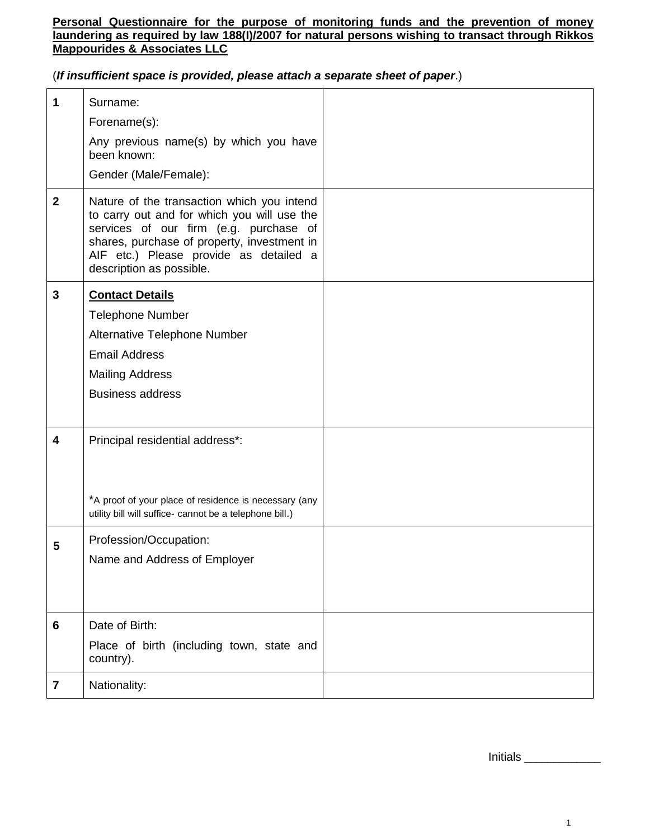### **Personal Questionnaire for the purpose of monitoring funds and the prevention of money laundering as required by law 188(I)/2007 for natural persons wishing to transact through Rikkos Mappourides & Associates LLC**

(*If insufficient space is provided, please attach a separate sheet of paper*.)

| 1              | Surname:                                                                                                                                                                                                                                                 |  |
|----------------|----------------------------------------------------------------------------------------------------------------------------------------------------------------------------------------------------------------------------------------------------------|--|
|                | Forename(s):                                                                                                                                                                                                                                             |  |
|                | Any previous name(s) by which you have<br>been known:                                                                                                                                                                                                    |  |
|                | Gender (Male/Female):                                                                                                                                                                                                                                    |  |
| $\mathbf{2}$   | Nature of the transaction which you intend<br>to carry out and for which you will use the<br>services of our firm (e.g. purchase of<br>shares, purchase of property, investment in<br>AIF etc.) Please provide as detailed a<br>description as possible. |  |
| $\mathbf{3}$   | <b>Contact Details</b>                                                                                                                                                                                                                                   |  |
|                | <b>Telephone Number</b>                                                                                                                                                                                                                                  |  |
|                | Alternative Telephone Number                                                                                                                                                                                                                             |  |
|                | <b>Email Address</b>                                                                                                                                                                                                                                     |  |
|                | <b>Mailing Address</b>                                                                                                                                                                                                                                   |  |
|                | <b>Business address</b>                                                                                                                                                                                                                                  |  |
| 4              | Principal residential address*:                                                                                                                                                                                                                          |  |
|                | *A proof of your place of residence is necessary (any<br>utility bill will suffice- cannot be a telephone bill.)                                                                                                                                         |  |
| 5              | Profession/Occupation:<br>Name and Address of Employer                                                                                                                                                                                                   |  |
|                |                                                                                                                                                                                                                                                          |  |
| 6              | Date of Birth:                                                                                                                                                                                                                                           |  |
|                | Place of birth (including town, state and<br>country).                                                                                                                                                                                                   |  |
| $\overline{7}$ | Nationality:                                                                                                                                                                                                                                             |  |
|                |                                                                                                                                                                                                                                                          |  |

Initials \_\_\_\_\_\_\_\_\_\_\_\_\_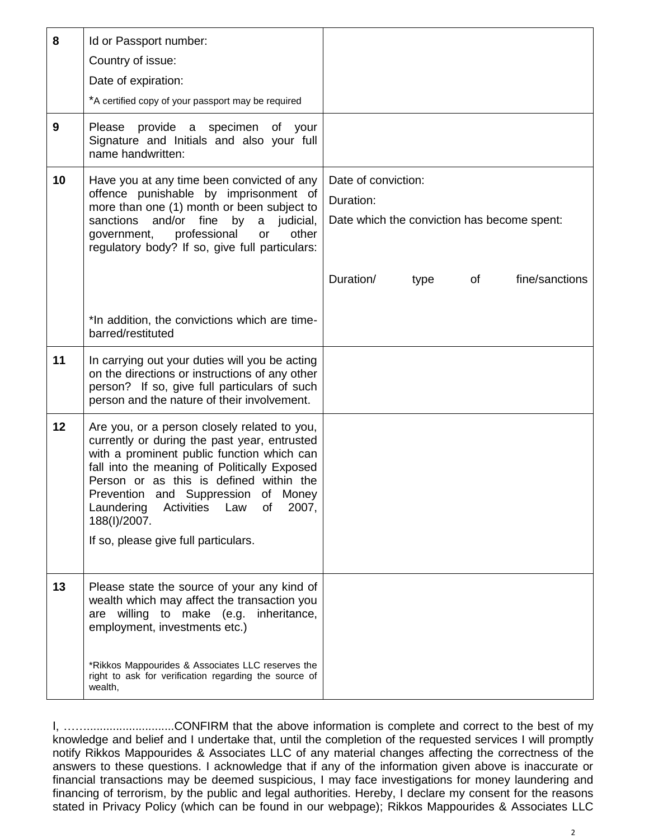| 8  | Id or Passport number:<br>Country of issue:<br>Date of expiration:                                                                                                                                                                                                                                                                                                                     |                                                                                 |  |
|----|----------------------------------------------------------------------------------------------------------------------------------------------------------------------------------------------------------------------------------------------------------------------------------------------------------------------------------------------------------------------------------------|---------------------------------------------------------------------------------|--|
|    | *A certified copy of your passport may be required                                                                                                                                                                                                                                                                                                                                     |                                                                                 |  |
| 9  | Please provide a specimen of your<br>Signature and Initials and also your full<br>name handwritten:                                                                                                                                                                                                                                                                                    |                                                                                 |  |
| 10 | Have you at any time been convicted of any<br>offence punishable by imprisonment of<br>more than one (1) month or been subject to<br>sanctions<br>and/or fine<br>by a judicial,<br>government, professional<br>other<br>or<br>regulatory body? If so, give full particulars:                                                                                                           | Date of conviction:<br>Duration:<br>Date which the conviction has become spent: |  |
|    |                                                                                                                                                                                                                                                                                                                                                                                        | Duration/<br>fine/sanctions<br>of<br>type                                       |  |
|    | *In addition, the convictions which are time-<br>barred/restituted                                                                                                                                                                                                                                                                                                                     |                                                                                 |  |
| 11 | In carrying out your duties will you be acting<br>on the directions or instructions of any other<br>person? If so, give full particulars of such<br>person and the nature of their involvement.                                                                                                                                                                                        |                                                                                 |  |
| 12 | Are you, or a person closely related to you,<br>currently or during the past year, entrusted<br>with a prominent public function which can<br>fall into the meaning of Politically Exposed<br>Person or as this is defined within the<br>Prevention and Suppression of Money<br>Laundering<br>Law<br>2007,<br>Activities<br>of<br>188(I)/2007.<br>If so, please give full particulars. |                                                                                 |  |
| 13 | Please state the source of your any kind of<br>wealth which may affect the transaction you<br>are willing to make (e.g.<br>inheritance,<br>employment, investments etc.)                                                                                                                                                                                                               |                                                                                 |  |
|    | *Rikkos Mappourides & Associates LLC reserves the<br>right to ask for verification regarding the source of<br>wealth,                                                                                                                                                                                                                                                                  |                                                                                 |  |

I, ……...........................CONFIRM that the above information is complete and correct to the best of my knowledge and belief and I undertake that, until the completion of the requested services I will promptly notify Rikkos Mappourides & Associates LLC of any material changes affecting the correctness of the answers to these questions. I acknowledge that if any of the information given above is inaccurate or financial transactions may be deemed suspicious, I may face investigations for money laundering and financing of terrorism, by the public and legal authorities. Hereby, I declare my consent for the reasons stated in Privacy Policy (which can be found in our webpage); Rikkos Mappourides & Associates LLC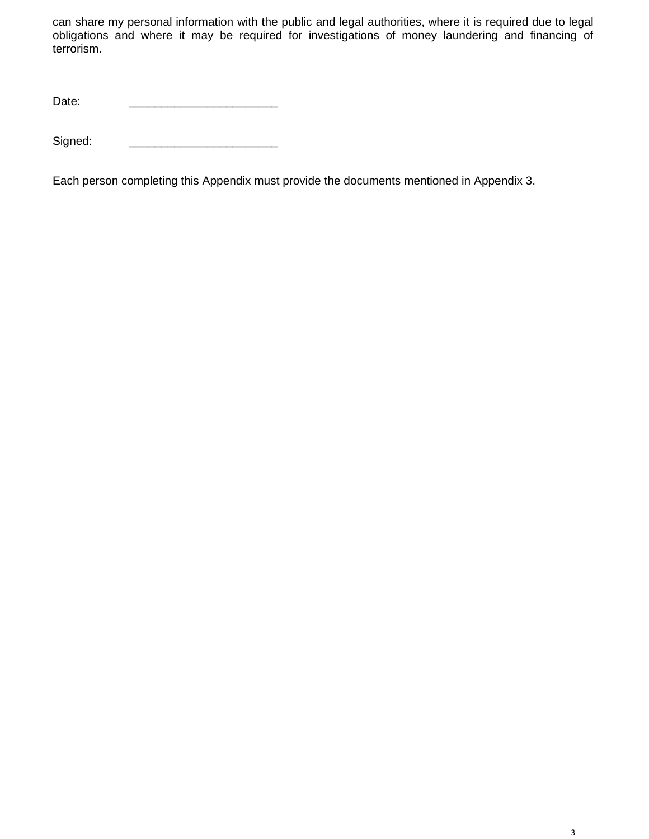can share my personal information with the public and legal authorities, where it is required due to legal obligations and where it may be required for investigations of money laundering and financing of terrorism.

Date:

Signed:

Each person completing this Appendix must provide the documents mentioned in Appendix 3.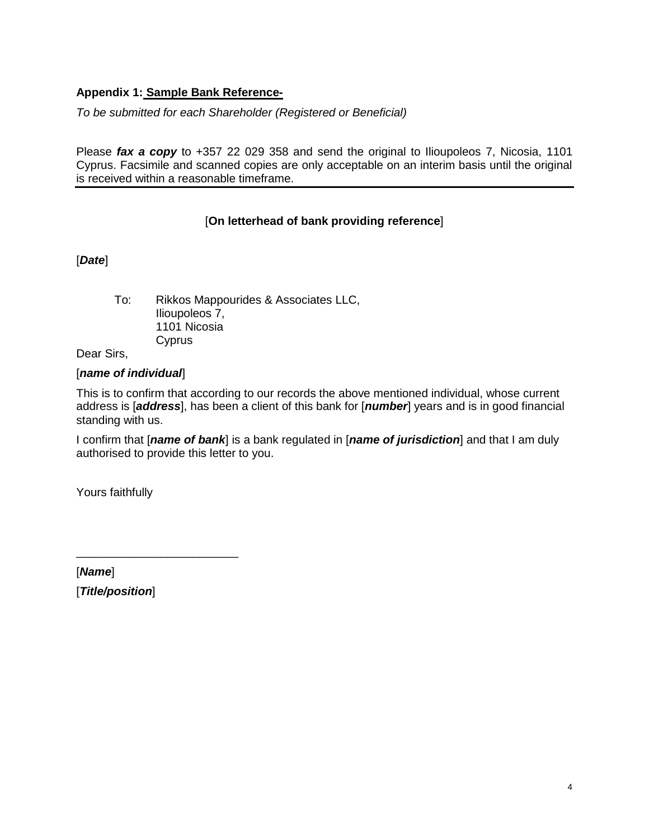# **Appendix 1: Sample Bank Reference-**

*To be submitted for each Shareholder (Registered or Beneficial)*

Please *fax a copy* to +357 22 029 358 and send the original to Ilioupoleos 7, Nicosia, 1101 Cyprus. Facsimile and scanned copies are only acceptable on an interim basis until the original is received within a reasonable timeframe.

# [**On letterhead of bank providing reference**]

[*Date*]

To: Rikkos Mappourides & Associates LLC, Ilioupoleos 7, 1101 Nicosia **Cyprus** 

Dear Sirs,

### [*name of individual*]

This is to confirm that according to our records the above mentioned individual, whose current address is [*address*], has been a client of this bank for [*number*] years and is in good financial standing with us.

I confirm that [*name of bank*] is a bank regulated in [*name of jurisdiction*] and that I am duly authorised to provide this letter to you.

Yours faithfully

[*Name*] [*Title/position*]

\_\_\_\_\_\_\_\_\_\_\_\_\_\_\_\_\_\_\_\_\_\_\_\_\_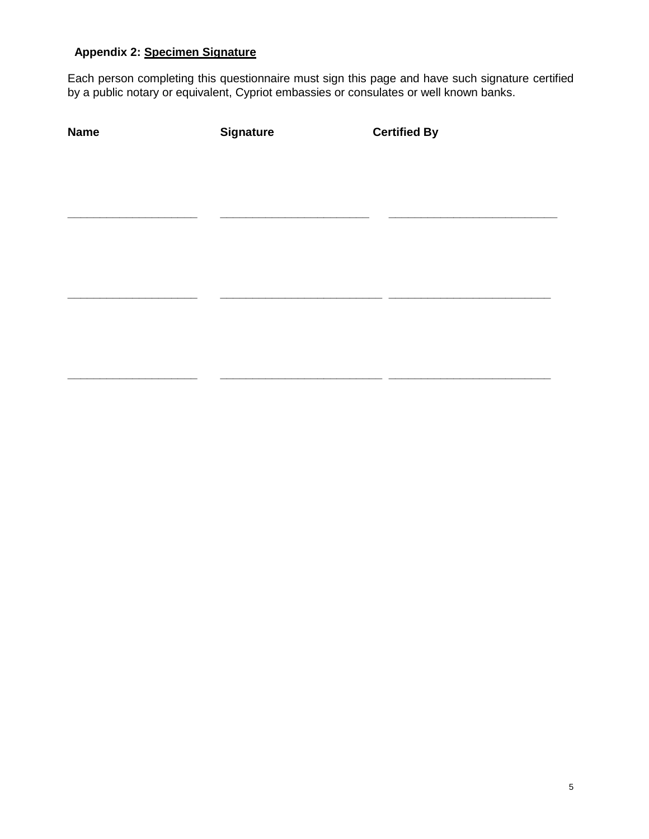# **Appendix 2: Specimen Signature**

Each person completing this questionnaire must sign this page and have such signature certified by a public notary or equivalent, Cypriot embassies or consulates or well known banks.

| <b>Name</b> | <b>Signature</b> | <b>Certified By</b> |
|-------------|------------------|---------------------|
|             |                  |                     |
|             |                  |                     |
|             |                  |                     |
|             |                  |                     |
|             |                  |                     |
|             |                  |                     |
|             |                  |                     |
|             |                  |                     |
|             |                  |                     |
|             |                  |                     |
|             |                  |                     |
|             |                  |                     |
|             |                  |                     |

**\_\_\_\_\_\_\_\_\_\_\_\_\_\_\_\_\_\_\_\_ \_\_\_\_\_\_\_\_\_\_\_\_\_\_\_\_\_\_\_\_\_\_\_\_\_ \_\_\_\_\_\_\_\_\_\_\_\_\_\_\_\_\_\_\_\_\_\_\_\_\_**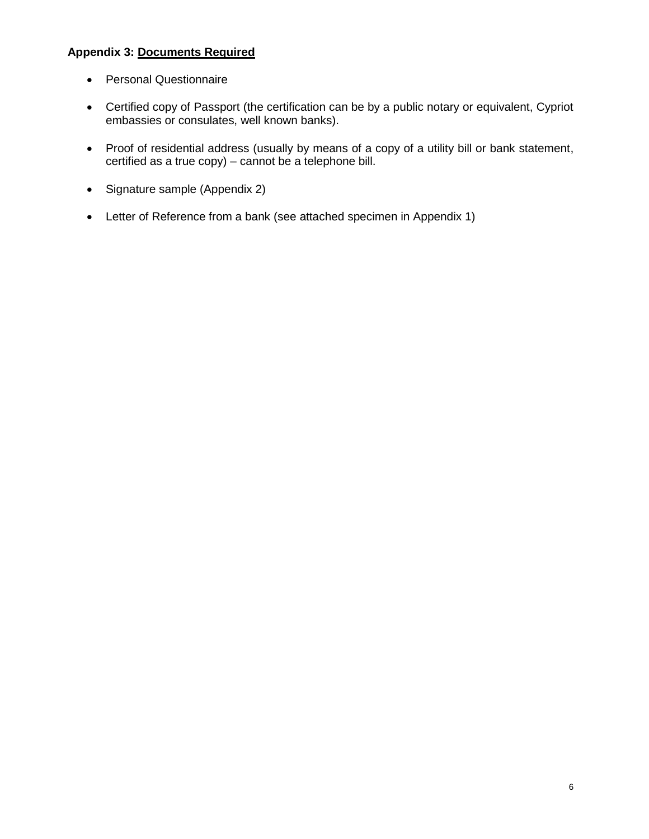# **Appendix 3: Documents Required**

- Personal Questionnaire
- Certified copy of Passport (the certification can be by a public notary or equivalent, Cypriot embassies or consulates, well known banks).
- Proof of residential address (usually by means of a copy of a utility bill or bank statement, certified as a true copy) – cannot be a telephone bill.
- Signature sample (Appendix 2)
- Letter of Reference from a bank (see attached specimen in Appendix 1)